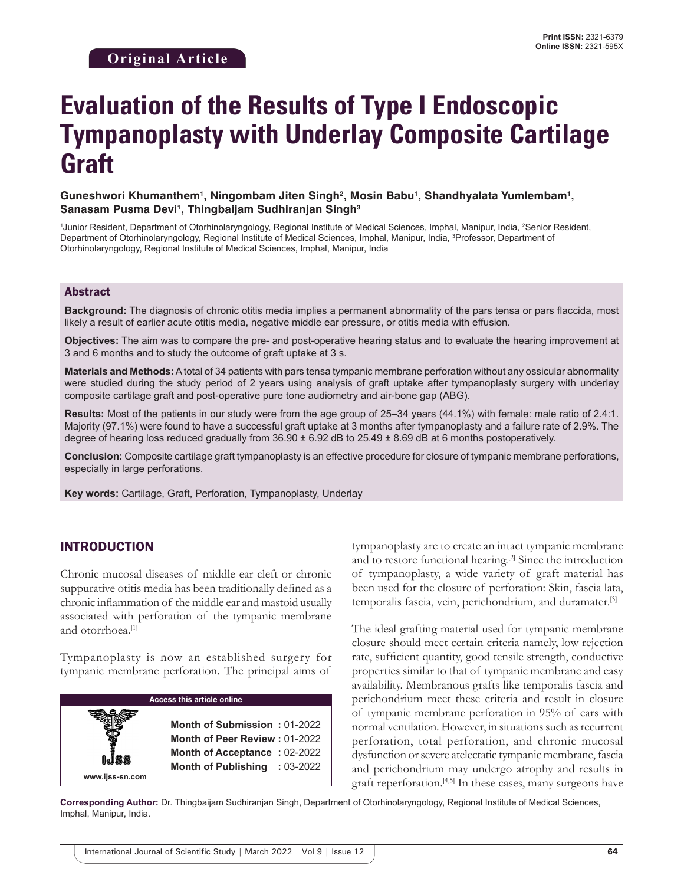# **Evaluation of the Results of Type I Endoscopic Tympanoplasty with Underlay Composite Cartilage Graft**

Guneshwori Khumanthem<sup>1</sup>, Ningombam Jiten Singh<sup>2</sup>, Mosin Babu<sup>1</sup>, Shandhyalata Yumlembam<sup>1</sup>, **Sanasam Pusma Devi1, Thingbaijam Sudhiranjan Singh3**

<sup>1</sup>Junior Resident, Department of Otorhinolaryngology, Regional Institute of Medical Sciences, Imphal, Manipur, India, <sup>2</sup>Senior Resident, Department of Otorhinolaryngology, Regional Institute of Medical Sciences, Imphal, Manipur, India, 3 Professor, Department of Otorhinolaryngology, Regional Institute of Medical Sciences, Imphal, Manipur, India

#### Abstract

**Background:** The diagnosis of chronic otitis media implies a permanent abnormality of the pars tensa or pars flaccida, most likely a result of earlier acute otitis media, negative middle ear pressure, or otitis media with effusion.

**Objectives:** The aim was to compare the pre- and post-operative hearing status and to evaluate the hearing improvement at 3 and 6 months and to study the outcome of graft uptake at 3 s.

**Materials and Methods:** Atotal of 34 patients with pars tensa tympanic membrane perforation without any ossicular abnormality were studied during the study period of 2 years using analysis of graft uptake after tympanoplasty surgery with underlay composite cartilage graft and post-operative pure tone audiometry and air-bone gap (ABG).

**Results:** Most of the patients in our study were from the age group of 25–34 years (44.1%) with female: male ratio of 2.4:1. Majority (97.1%) were found to have a successful graft uptake at 3 months after tympanoplasty and a failure rate of 2.9%. The degree of hearing loss reduced gradually from 36.90 ± 6.92 dB to 25.49 ± 8.69 dB at 6 months postoperatively.

**Conclusion:** Composite cartilage graft tympanoplasty is an effective procedure for closure of tympanic membrane perforations, especially in large perforations.

**Key words:** Cartilage, Graft, Perforation, Tympanoplasty, Underlay

#### INTRODUCTION

Chronic mucosal diseases of middle ear cleft or chronic suppurative otitis media has been traditionally defined as a chronic inflammation of the middle ear and mastoid usually associated with perforation of the tympanic membrane and otorrhoea.<sup>[1]</sup>

Tympanoplasty is now an established surgery for tympanic membrane perforation. The principal aims of

| <b>Access this article online</b> |                               |  |
|-----------------------------------|-------------------------------|--|
|                                   |                               |  |
|                                   | Month of Submission: 01-2022  |  |
|                                   | Month of Peer Review: 01-2022 |  |
|                                   | Month of Acceptance: 02-2022  |  |
|                                   | Month of Publishing : 03-2022 |  |
| www.ijss-sn.com                   |                               |  |

tympanoplasty are to create an intact tympanic membrane and to restore functional hearing.[2] Since the introduction of tympanoplasty, a wide variety of graft material has been used for the closure of perforation: Skin, fascia lata, temporalis fascia, vein, perichondrium, and duramater.[3]

The ideal grafting material used for tympanic membrane closure should meet certain criteria namely, low rejection rate, sufficient quantity, good tensile strength, conductive properties similar to that of tympanic membrane and easy availability. Membranous grafts like temporalis fascia and perichondrium meet these criteria and result in closure of tympanic membrane perforation in 95% of ears with normal ventilation. However, in situations such as recurrent perforation, total perforation, and chronic mucosal dysfunction or severe atelectatic tympanic membrane, fascia and perichondrium may undergo atrophy and results in graft reperforation.<sup>[4,5]</sup> In these cases, many surgeons have

**Corresponding Author:** Dr. Thingbaijam Sudhiranjan Singh, Department of Otorhinolaryngology, Regional Institute of Medical Sciences, Imphal, Manipur, India.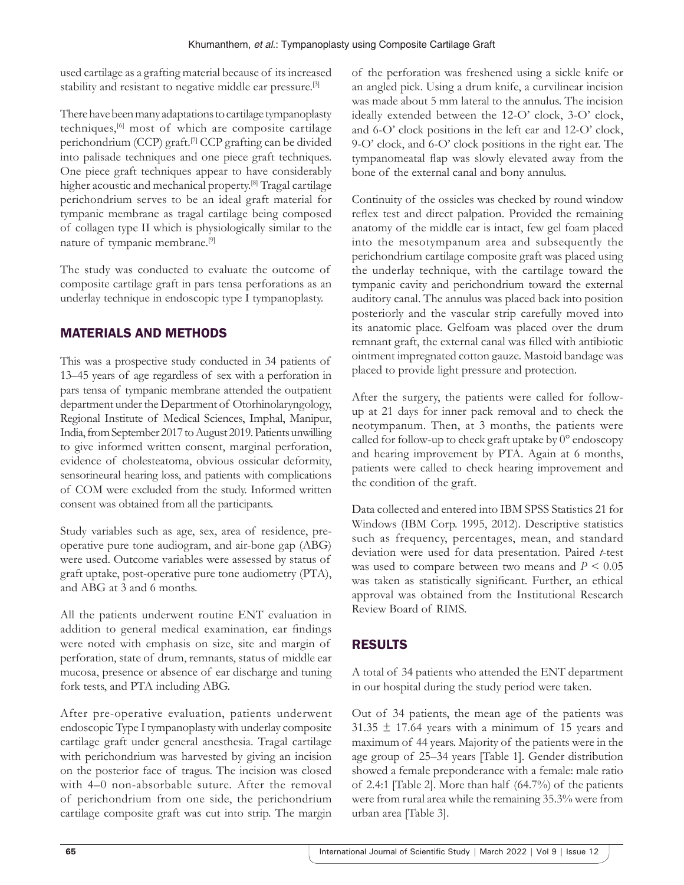used cartilage as a grafting material because of its increased stability and resistant to negative middle ear pressure.[3]

There have been many adaptations to cartilage tympanoplasty techniques,[6] most of which are composite cartilage perichondrium (CCP) graft.<sup>[7]</sup> CCP grafting can be divided into palisade techniques and one piece graft techniques. One piece graft techniques appear to have considerably higher acoustic and mechanical property.<sup>[8]</sup> Tragal cartilage perichondrium serves to be an ideal graft material for tympanic membrane as tragal cartilage being composed of collagen type II which is physiologically similar to the nature of tympanic membrane.[9]

The study was conducted to evaluate the outcome of composite cartilage graft in pars tensa perforations as an underlay technique in endoscopic type I tympanoplasty.

# MATERIALS AND METHODS

This was a prospective study conducted in 34 patients of 13–45 years of age regardless of sex with a perforation in pars tensa of tympanic membrane attended the outpatient department under the Department of Otorhinolaryngology, Regional Institute of Medical Sciences, Imphal, Manipur, India, from September 2017 to August 2019. Patients unwilling to give informed written consent, marginal perforation, evidence of cholesteatoma, obvious ossicular deformity, sensorineural hearing loss, and patients with complications of COM were excluded from the study. Informed written consent was obtained from all the participants.

Study variables such as age, sex, area of residence, preoperative pure tone audiogram, and air-bone gap (ABG) were used. Outcome variables were assessed by status of graft uptake, post-operative pure tone audiometry (PTA), and ABG at 3 and 6 months.

All the patients underwent routine ENT evaluation in addition to general medical examination, ear findings were noted with emphasis on size, site and margin of perforation, state of drum, remnants, status of middle ear mucosa, presence or absence of ear discharge and tuning fork tests, and PTA including ABG.

After pre-operative evaluation, patients underwent endoscopic Type I tympanoplasty with underlay composite cartilage graft under general anesthesia. Tragal cartilage with perichondrium was harvested by giving an incision on the posterior face of tragus. The incision was closed with 4–0 non-absorbable suture. After the removal of perichondrium from one side, the perichondrium cartilage composite graft was cut into strip. The margin

of the perforation was freshened using a sickle knife or an angled pick. Using a drum knife, a curvilinear incision was made about 5 mm lateral to the annulus. The incision ideally extended between the 12-O' clock, 3-O' clock, and 6-O' clock positions in the left ear and 12-O' clock, 9-O' clock, and 6-O' clock positions in the right ear. The tympanomeatal flap was slowly elevated away from the bone of the external canal and bony annulus.

Continuity of the ossicles was checked by round window reflex test and direct palpation. Provided the remaining anatomy of the middle ear is intact, few gel foam placed into the mesotympanum area and subsequently the perichondrium cartilage composite graft was placed using the underlay technique, with the cartilage toward the tympanic cavity and perichondrium toward the external auditory canal. The annulus was placed back into position posteriorly and the vascular strip carefully moved into its anatomic place. Gelfoam was placed over the drum remnant graft, the external canal was filled with antibiotic ointment impregnated cotton gauze. Mastoid bandage was placed to provide light pressure and protection.

After the surgery, the patients were called for followup at 21 days for inner pack removal and to check the neotympanum. Then, at 3 months, the patients were called for follow-up to check graft uptake by 0° endoscopy and hearing improvement by PTA. Again at 6 months, patients were called to check hearing improvement and the condition of the graft.

Data collected and entered into IBM SPSS Statistics 21 for Windows (IBM Corp. 1995, 2012). Descriptive statistics such as frequency, percentages, mean, and standard deviation were used for data presentation. Paired *t*-test was used to compare between two means and *P* < 0.05 was taken as statistically significant. Further, an ethical approval was obtained from the Institutional Research Review Board of RIMS.

# RESULTS

A total of 34 patients who attended the ENT department in our hospital during the study period were taken.

Out of 34 patients, the mean age of the patients was  $31.35 \pm 17.64$  years with a minimum of 15 years and maximum of 44 years. Majority of the patients were in the age group of 25–34 years [Table 1]. Gender distribution showed a female preponderance with a female: male ratio of 2.4:1 [Table 2]. More than half (64.7%) of the patients were from rural area while the remaining 35.3% were from urban area [Table 3].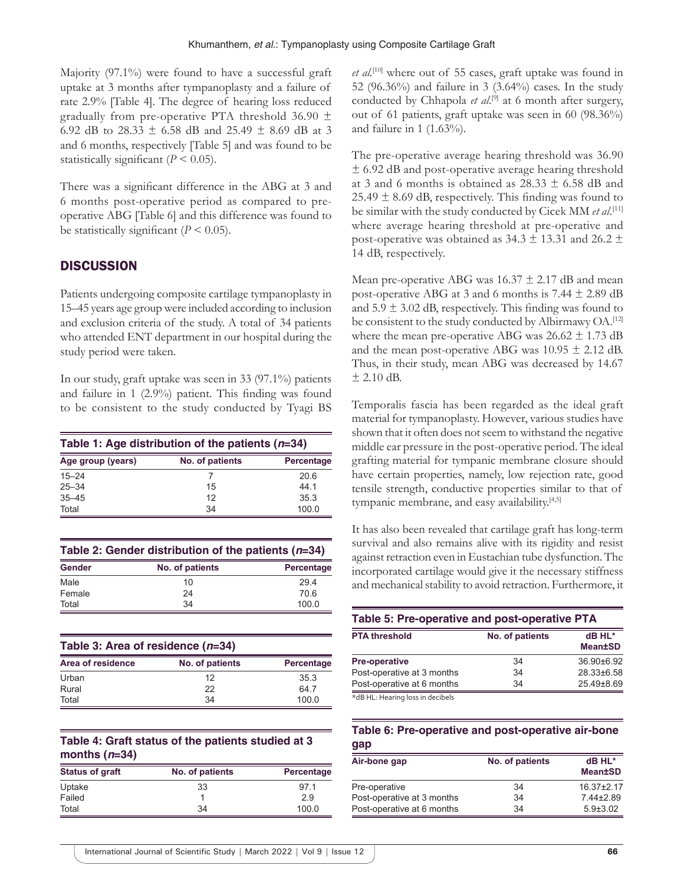Majority (97.1%) were found to have a successful graft uptake at 3 months after tympanoplasty and a failure of rate 2.9% [Table 4]. The degree of hearing loss reduced gradually from pre-operative PTA threshold 36.90  $\pm$ 6.92 dB to 28.33  $\pm$  6.58 dB and 25.49  $\pm$  8.69 dB at 3 and 6 months, respectively [Table 5] and was found to be statistically significant  $(P < 0.05)$ .

There was a significant difference in the ABG at 3 and 6 months post-operative period as compared to preoperative ABG [Table 6] and this difference was found to be statistically significant  $(P < 0.05)$ .

### **DISCUSSION**

Patients undergoing composite cartilage tympanoplasty in 15–45 years age group were included according to inclusion and exclusion criteria of the study. A total of 34 patients who attended ENT department in our hospital during the study period were taken.

In our study, graft uptake was seen in 33 (97.1%) patients and failure in 1 (2.9%) patient. This finding was found to be consistent to the study conducted by Tyagi BS

| Table 1: Age distribution of the patients $(n=34)$ |                 |            |  |
|----------------------------------------------------|-----------------|------------|--|
| Age group (years)                                  | No. of patients | Percentage |  |
| $15 - 24$                                          |                 | 20.6       |  |
| $25 - 34$                                          | 15              | 44 1       |  |
| $35 - 45$                                          | 12              | 35.3       |  |
| Total                                              | 34              | 100.0      |  |

| Table 2: Gender distribution of the patients $(n=34)$ |                 |            |  |
|-------------------------------------------------------|-----------------|------------|--|
| <b>Gender</b>                                         | No. of patients | Percentage |  |
| Male                                                  | 10              | 294        |  |
| Female                                                | 24              | 70.6       |  |
| Total                                                 | 34              | 100.0      |  |

| Table 3: Area of residence $(n=34)$ |                 |            |  |
|-------------------------------------|-----------------|------------|--|
| Area of residence                   | No. of patients | Percentage |  |
| Urban                               | 12              | 35.3       |  |
| Rural                               | 22              | 647        |  |
| Total                               | 34              | 100.0      |  |

### **Table 4: Graft status of the patients studied at 3 months (***n***=34)**

| <b>Status of graft</b> | No. of patients | Percentage |
|------------------------|-----------------|------------|
| Uptake                 | 33              | 971        |
| Failed                 |                 | 2.9        |
| Total                  | 34              | 100.0      |

*et al.*[10] where out of 55 cases, graft uptake was found in 52 (96.36%) and failure in 3 (3.64%) cases. In the study conducted by Chhapola *et al*. [9] at 6 month after surgery, out of 61 patients, graft uptake was seen in 60 (98.36%) and failure in 1 (1.63%).

The pre-operative average hearing threshold was 36.90  $\pm$  6.92 dB and post-operative average hearing threshold at 3 and 6 months is obtained as  $28.33 \pm 6.58$  dB and  $25.49 \pm 8.69$  dB, respectively. This finding was found to be similar with the study conducted by Cicek MM *et al*. [11] where average hearing threshold at pre-operative and post-operative was obtained as  $34.3 \pm 13.31$  and  $26.2 \pm$ 14 dB, respectively.

Mean pre-operative ABG was  $16.37 \pm 2.17$  dB and mean post-operative ABG at 3 and 6 months is  $7.44 \pm 2.89$  dB and  $5.9 \pm 3.02$  dB, respectively. This finding was found to be consistent to the study conducted by Albirmawy OA.<sup>[12]</sup> where the mean pre-operative ABG was  $26.62 \pm 1.73$  dB and the mean post-operative ABG was  $10.95 \pm 2.12$  dB. Thus, in their study, mean ABG was decreased by 14.67  $\pm$  2.10 dB.

Temporalis fascia has been regarded as the ideal graft material for tympanoplasty. However, various studies have shown that it often does not seem to withstand the negative middle ear pressure in the post-operative period. The ideal grafting material for tympanic membrane closure should have certain properties, namely, low rejection rate, good tensile strength, conductive properties similar to that of tympanic membrane, and easy availability.[4,5]

It has also been revealed that cartilage graft has long-term survival and also remains alive with its rigidity and resist against retraction even in Eustachian tube dysfunction. The incorporated cartilage would give it the necessary stiffness and mechanical stability to avoid retraction. Furthermore, it

| Table 5: Pre-operative and post-operative PTA |                 |                          |  |
|-----------------------------------------------|-----------------|--------------------------|--|
| <b>PTA threshold</b>                          | No. of patients | dB HL*<br><b>Mean±SD</b> |  |
| <b>Pre-operative</b>                          | 34              | $36.90 \pm 6.92$         |  |
| Post-operative at 3 months                    | 34              | 28.33±6.58               |  |
| Post-operative at 6 months                    | 34              | $25.49\pm8.69$           |  |
| *dB HL: Hearing loss in decibels              |                 |                          |  |

#### **Table 6: Pre‑operative and post‑operative air‑bone gap**

| Air-bone gap               | No. of patients | dB HL*<br><b>Mean±SD</b> |
|----------------------------|-----------------|--------------------------|
| Pre-operative              | 34              | $16.37 \pm 2.17$         |
| Post-operative at 3 months | 34              | $7.44 \pm 2.89$          |
| Post-operative at 6 months | 34              | $5.9 \pm 3.02$           |